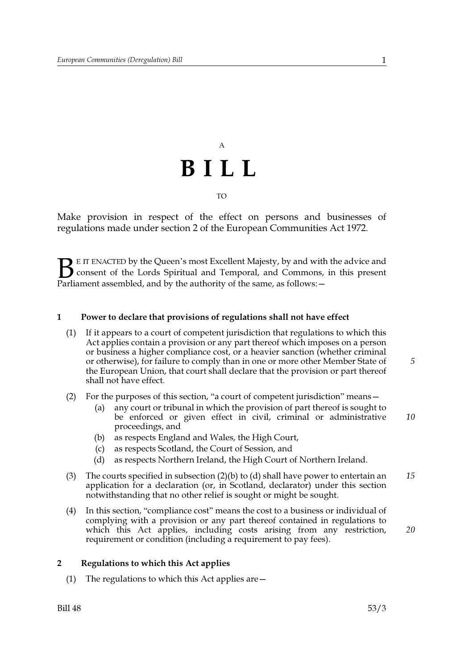# $\overline{A}$ BILL

**TO** 

Make provision in respect of the effect on persons and businesses of regulations made under section 2 of the European Communities Act 1972.

E IT ENACTED by the Queen's most Excellent Majesty, by and with the advice and consent of the Lords Spiritual and Temporal, and Commons, in this present Parliament assembled, and by the authority of the same, as follows: -

### $\mathbf{1}$ Power to declare that provisions of regulations shall not have effect

- $(1)$ If it appears to a court of competent jurisdiction that regulations to which this Act applies contain a provision or any part thereof which imposes on a person or business a higher compliance cost, or a heavier sanction (whether criminal or otherwise), for failure to comply than in one or more other Member State of the European Union, that court shall declare that the provision or part thereof shall not have effect.
- (2) For the purposes of this section, "a court of competent jurisdiction" means
	- any court or tribunal in which the provision of part thereof is sought to  $(a)$ be enforced or given effect in civil, criminal or administrative 10 proceedings, and
	- as respects England and Wales, the High Court,  $(b)$
	- as respects Scotland, the Court of Session, and  $(c)$
	- as respects Northern Ireland, the High Court of Northern Ireland.  $(d)$
- $(3)$ The courts specified in subsection  $(2)(b)$  to  $(d)$  shall have power to entertain an 15 application for a declaration (or, in Scotland, declarator) under this section notwithstanding that no other relief is sought or might be sought.
- In this section, "compliance cost" means the cost to a business or individual of  $(4)$ complying with a provision or any part thereof contained in regulations to which this Act applies, including costs arising from any restriction, requirement or condition (including a requirement to pay fees).

## $\overline{2}$ Regulations to which this Act applies

(1) The regulations to which this Act applies are  $-$ 

 $\mathbf{1}$ 

5

20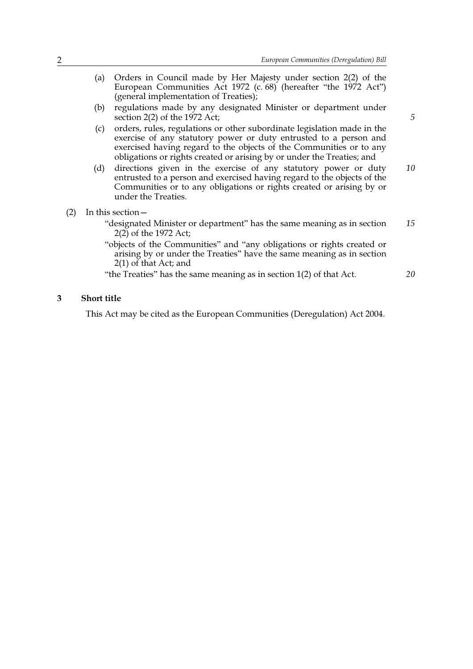- Orders in Council made by Her Majesty under section 2(2) of the  $(a)$ European Communities Act 1972 (c. 68) (hereafter "the 1972 Act") (general implementation of Treaties);  $(b)$ 
	- regulations made by any designated Minister or department under section 2(2) of the 1972 Act;
	- $(c)$ orders, rules, regulations or other subordinate legislation made in the exercise of any statutory power or duty entrusted to a person and exercised having regard to the objects of the Communities or to any obligations or rights created or arising by or under the Treaties; and
- (d) directions given in the exercise of any statutory power or duty 10 entrusted to a person and exercised having regard to the objects of the Communities or to any obligations or rights created or arising by or under the Treaties.
- $(2)$  In this section
	- "designated Minister or department" has the same meaning as in section 15  $2(2)$  of the 1972 Act;
	- "objects of the Communities" and "any obligations or rights created or arising by or under the Treaties" have the same meaning as in section  $2(1)$  of that Act; and

"the Treaties" has the same meaning as in section 1(2) of that Act.

## 20

5

### $\overline{3}$ **Short title**

This Act may be cited as the European Communities (Deregulation) Act 2004.